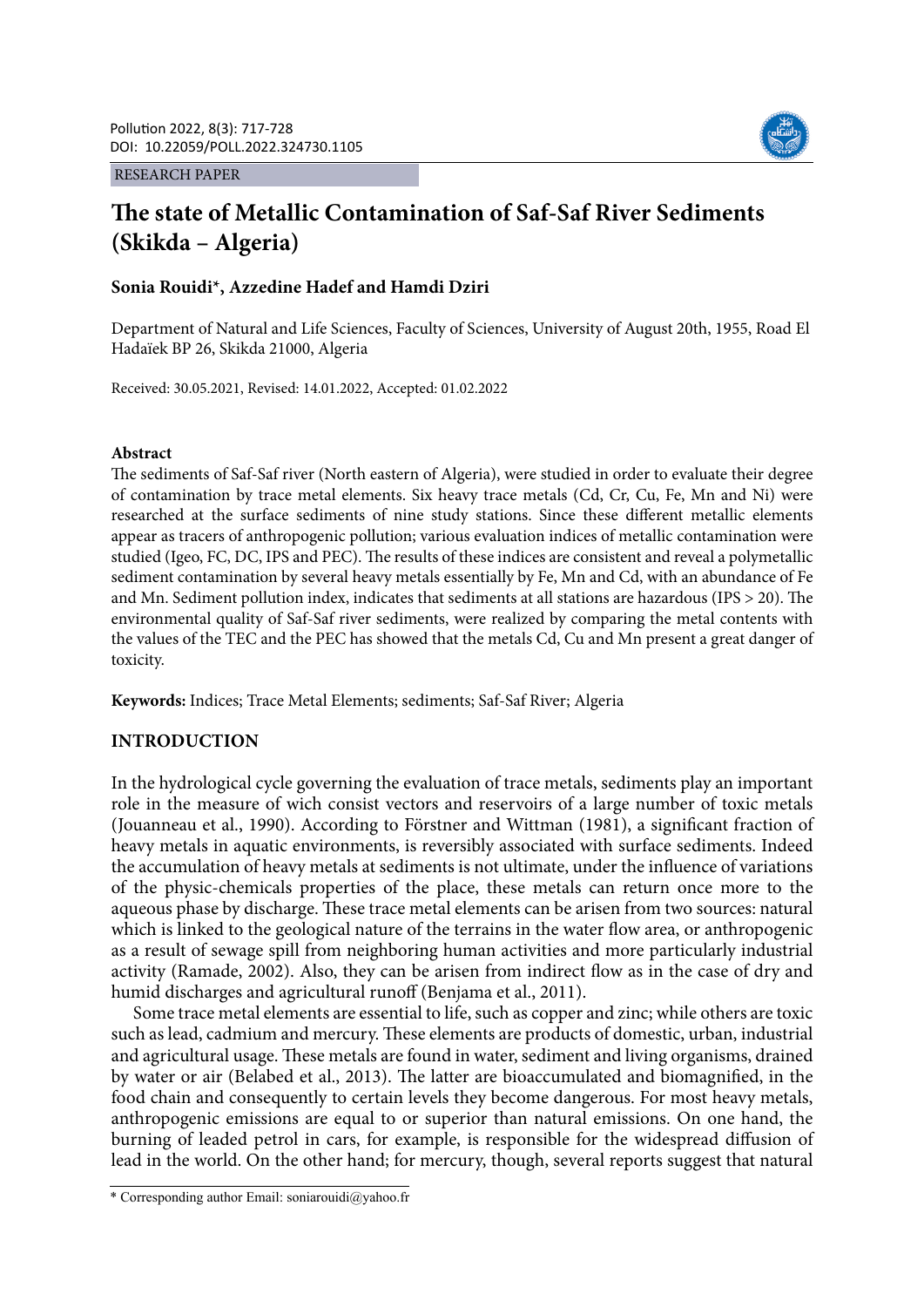RESEARCH PAPER



# **The state of Metallic Contamination of Saf-Saf River Sediments (Skikda – Algeria)**

# **Sonia Rouidi\*, Azzedine Hadef and Hamdi Dziri**

Department of Natural and Life Sciences, Faculty of Sciences, University of August 20th, 1955, Road El Hadaïek BP 26, Skikda 21000, Algeria

Received: 30.05.2021, Revised: 14.01.2022, Accepted: 01.02.2022

#### **Abstract**

The sediments of Saf-Saf river (North eastern of Algeria), were studied in order to evaluate their degree of contamination by trace metal elements. Six heavy trace metals (Cd, Cr, Cu, Fe, Mn and Ni) were researched at the surface sediments of nine study stations. Since these different metallic elements appear as tracers of anthropogenic pollution; various evaluation indices of metallic contamination were studied (Igeo, FC, DC, IPS and PEC). The results of these indices are consistent and reveal a polymetallic sediment contamination by several heavy metals essentially by Fe, Mn and Cd, with an abundance of Fe and Mn. Sediment pollution index, indicates that sediments at all stations are hazardous (IPS > 20). The environmental quality of Saf-Saf river sediments, were realized by comparing the metal contents with the values of the TEC and the PEC has showed that the metals Cd, Cu and Mn present a great danger of toxicity.

**Keywords:** Indices; Trace Metal Elements; sediments; Saf-Saf River; Algeria

### **INTRODUCTION**

In the hydrological cycle governing the evaluation of trace metals, sediments play an important role in the measure of wich consist vectors and reservoirs of a large number of toxic metals (Jouanneau et al., 1990). According to Förstner and Wittman (1981), a significant fraction of heavy metals in aquatic environments, is reversibly associated with surface sediments. Indeed the accumulation of heavy metals at sediments is not ultimate, under the influence of variations of the physic-chemicals properties of the place, these metals can return once more to the aqueous phase by discharge. These trace metal elements can be arisen from two sources: natural which is linked to the geological nature of the terrains in the water flow area, or anthropogenic as a result of sewage spill from neighboring human activities and more particularly industrial activity (Ramade, 2002). Also, they can be arisen from indirect flow as in the case of dry and humid discharges and agricultural runoff (Benjama et al., 2011).

Some trace metal elements are essential to life, such as copper and zinc; while others are toxic such as lead, cadmium and mercury. These elements are products of domestic, urban, industrial and agricultural usage. These metals are found in water, sediment and living organisms, drained by water or air (Belabed et al., 2013). The latter are bioaccumulated and biomagnified, in the food chain and consequently to certain levels they become dangerous. For most heavy metals, anthropogenic emissions are equal to or superior than natural emissions. On one hand, the burning of leaded petrol in cars, for example, is responsible for the widespread diffusion of lead in the world. On the other hand; for mercury, though, several reports suggest that natural

<sup>\*</sup> Corresponding author Email: soniarouidi@yahoo.fr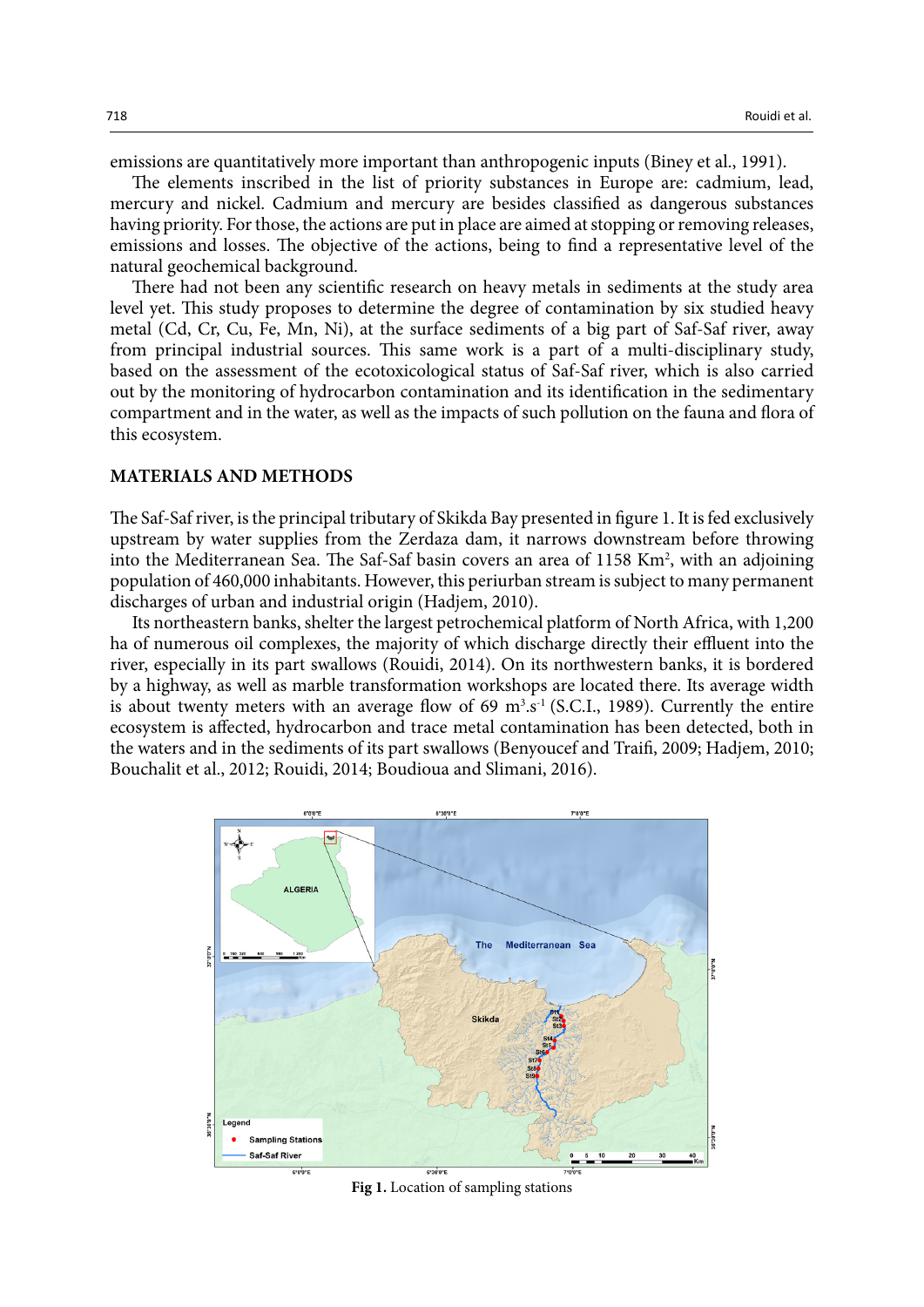emissions are quantitatively more important than anthropogenic inputs (Biney et al., 1991).

The elements inscribed in the list of priority substances in Europe are: cadmium, lead, mercury and nickel. Cadmium and mercury are besides classified as dangerous substances having priority. For those, the actions are put in place are aimed at stopping or removing releases, emissions and losses. The objective of the actions, being to find a representative level of the natural geochemical background.

There had not been any scientific research on heavy metals in sediments at the study area level yet. This study proposes to determine the degree of contamination by six studied heavy metal (Cd, Cr, Cu, Fe, Mn, Ni), at the surface sediments of a big part of Saf-Saf river, away from principal industrial sources. This same work is a part of a multi-disciplinary study, based on the assessment of the ecotoxicological status of Saf-Saf river, which is also carried out by the monitoring of hydrocarbon contamination and its identification in the sedimentary compartment and in the water, as well as the impacts of such pollution on the fauna and flora of this ecosystem.

#### **MATERIALS AND METHODS**

The Saf-Saf river, is the principal tributary of Skikda Bay presented in figure 1. It is fed exclusively upstream by water supplies from the Zerdaza dam, it narrows downstream before throwing into the Mediterranean Sea. The Saf-Saf basin covers an area of 1158 Km<sup>2</sup>, with an adjoining population of 460,000 inhabitants. However, this periurban stream is subject to many permanent discharges of urban and industrial origin (Hadjem, 2010).

Its northeastern banks, shelter the largest petrochemical platform of North Africa, with 1,200 ha of numerous oil complexes, the majority of which discharge directly their effluent into the river, especially in its part swallows (Rouidi, 2014). On its northwestern banks, it is bordered by a highway, as well as marble transformation workshops are located there. Its average width is about twenty meters with an average flow of  $69 \text{ m}^3 \text{s}^{-1}$  (S.C.I., 1989). Currently the entire ecosystem is affected, hydrocarbon and trace metal contamination has been detected, both in the waters and in the sediments of its part swallows (Benyoucef and Traifi, 2009; Hadjem, 2010; Bouchalit et al., 2012; Rouidi, 2014; Boudioua and Slimani, 2016).



**Fig 1.** Location of sampling stations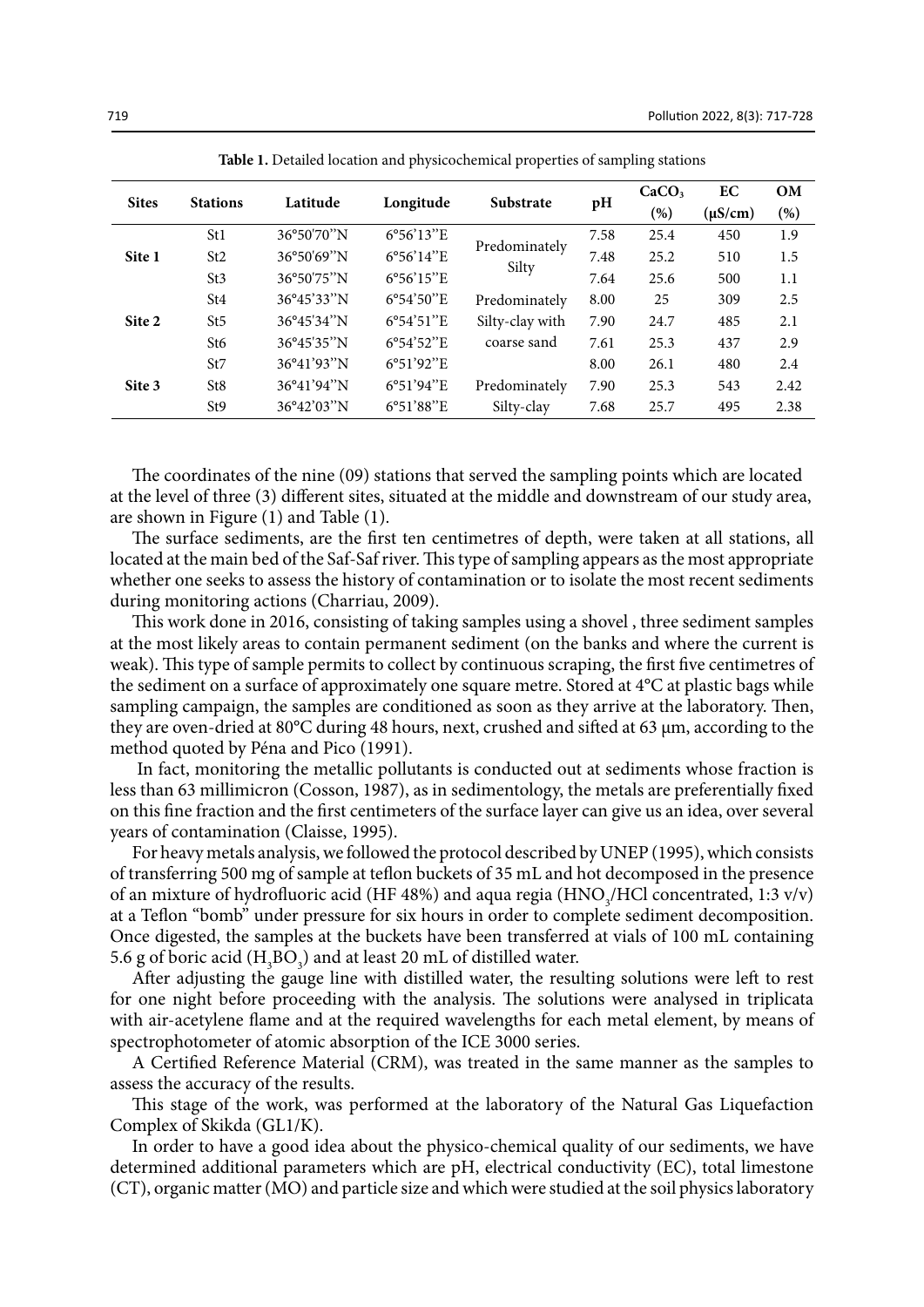| <b>Sites</b> | <b>Stations</b> | Latitude                                  | Longitude           | <b>Substrate</b> | pH   | CaCO <sub>3</sub><br>$(\%)$ | EC<br>$(\mu S/cm)$ | OM<br>(%) |
|--------------|-----------------|-------------------------------------------|---------------------|------------------|------|-----------------------------|--------------------|-----------|
|              | St1             | 36°50'70"N                                | $6^{\circ}56'13''E$ |                  | 7.58 | 25.4                        | 450                | 1.9       |
| Site 1       | St <sub>2</sub> | 36°50'69"N                                | 6°56'14"E           | Predominately    | 7.48 | 25.2                        | 510                | 1.5       |
|              | St3             | 36°50'75"N                                | $6^{\circ}56'15''E$ | Silty            | 7.64 | 25.6                        | 500                | 1.1       |
|              | St4             | 36°45'33"N                                | $6^{\circ}54'50''E$ | Predominately    | 8.00 | 25                          | 309                | 2.5       |
| Site 2       | St5             | $36^{\circ}45'34''N$                      | $6^{\circ}54'51''E$ | Silty-clay with  | 7.90 | 24.7                        | 485                | 2.1       |
|              | St6             | 36°45'35"N                                | $6^{\circ}54'52''E$ | coarse sand      | 7.61 | 25.3                        | 437                | 2.9       |
|              | St7             | $36^{\circ}41'93''N$                      | $6^{\circ}51'92''E$ |                  | 8.00 | 26.1                        | 480                | 2.4       |
| Site 3       | St8             | 36°41'94"N                                | $6^{\circ}51'94''E$ | Predominately    | 7.90 | 25.3                        | 543                | 2.42      |
|              | St9             | $36^{\circ}42^{\prime}03^{\prime\prime}N$ | $6^{\circ}51'88''E$ | Silty-clay       | 7.68 | 25.7                        | 495                | 2.38      |

**Table 1.** Detailed location and physicochemical properties of sampling stations **Table 1.** Detailed location and physicochemical properties of sampling stations

The coordinates of the nine (09) stations that served the sampling points which are located at the level of three (3) different sites, situated at the middle and downstream of our study area, are shown in Figure (1) and Table (1).

The surface sediments, are the first ten centimetres of depth, were taken at all stations, all located at the main bed of the Saf-Saf river. This type of sampling appears as the most appropriate whether one seeks to assess the history of contamination or to isolate the most recent sediments during monitoring actions (Charriau, 2009).

This work done in 2016, consisting of taking samples using a shovel , three sediment samples at the most likely areas to contain permanent sediment (on the banks and where the current is weak). This type of sample permits to collect by continuous scraping, the first five centimetres of the sediment on a surface of approximately one square metre. Stored at 4°C at plastic bags while sampling campaign, the samples are conditioned as soon as they arrive at the laboratory. Then, they are oven-dried at 80°C during 48 hours, next, crushed and sifted at 63 µm, according to the method quoted by Péna and Pico (1991).

 In fact, monitoring the metallic pollutants is conducted out at sediments whose fraction is less than 63 millimicron (Cosson, 1987), as in sedimentology, the metals are preferentially fixed on this fine fraction and the first centimeters of the surface layer can give us an idea, over several years of contamination (Claisse, 1995).

For heavy metals analysis, we followed the protocol described by UNEP (1995), which consists of transferring 500 mg of sample at teflon buckets of 35 mL and hot decomposed in the presence of an mixture of hydrofluoric acid (HF 48%) and aqua regia (HNO<sub>3</sub>/HCl concentrated, 1:3 v/v) at a Teflon "bomb" under pressure for six hours in order to complete sediment decomposition. Once digested, the samples at the buckets have been transferred at vials of 100 mL containing 5.6 g of boric acid  $(H_3BO_3)$  and at least 20 mL of distilled water.

After adjusting the gauge line with distilled water, the resulting solutions were left to rest for one night before proceeding with the analysis. The solutions were analysed in triplicata with air-acetylene flame and at the required wavelengths for each metal element, by means of spectrophotometer of atomic absorption of the ICE 3000 series.

A Certified Reference Material (CRM), was treated in the same manner as the samples to assess the accuracy of the results.

This stage of the work, was performed at the laboratory of the Natural Gas Liquefaction Complex of Skikda (GL1/K).

In order to have a good idea about the physico-chemical quality of our sediments, we have determined additional parameters which are pH, electrical conductivity (EC), total limestone (CT), organic matter (MO) and particle size and which were studied at the soil physics laboratory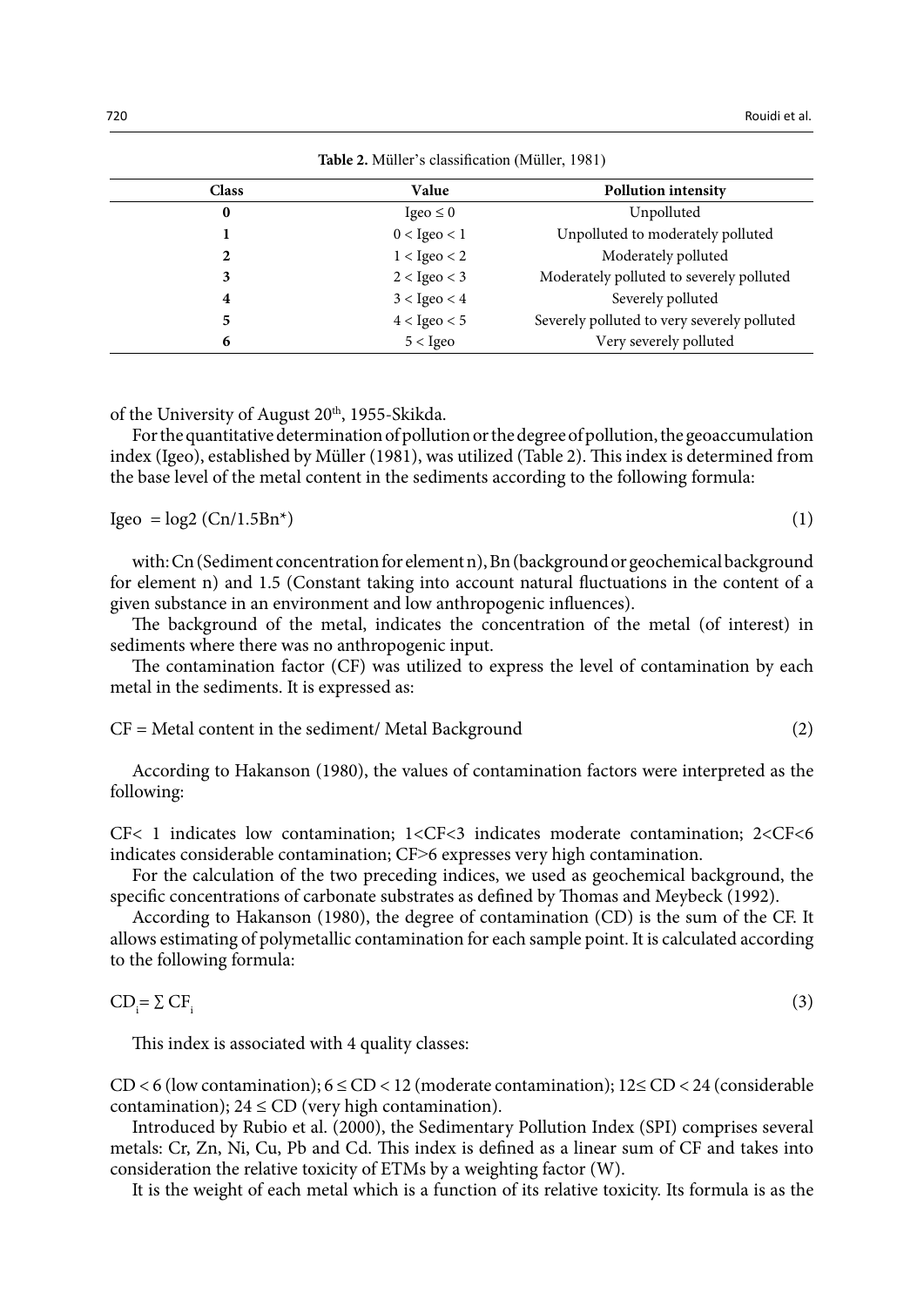| <b>Rapic 2.</b> Muller 3 classification (intuited, 1701) |                  |                                             |  |  |  |  |  |
|----------------------------------------------------------|------------------|---------------------------------------------|--|--|--|--|--|
| <b>Class</b>                                             | Value            | <b>Pollution intensity</b>                  |  |  |  |  |  |
| 0                                                        | Igeo $\leq 0$    | Unpolluted                                  |  |  |  |  |  |
|                                                          | $0 <$ Igeo $<$ 1 | Unpolluted to moderately polluted           |  |  |  |  |  |
| 2                                                        | $1 <$ Igeo $<$ 2 | Moderately polluted                         |  |  |  |  |  |
| 3                                                        | $2 <$ Igeo $<$ 3 | Moderately polluted to severely polluted    |  |  |  |  |  |
| 4                                                        | $3 <$ Igeo $<$ 4 | Severely polluted                           |  |  |  |  |  |
| 5                                                        | $4 <$ Igeo $<$ 5 | Severely polluted to very severely polluted |  |  |  |  |  |
| 6                                                        | $5 <$ Igeo       | Very severely polluted                      |  |  |  |  |  |

**Table 2.** Müller's classification (Müller, 1981) **Table 2.** Müller's classification (Müller, 1981)

of the University of August 20<sup>th</sup>, 1955-Skikda.

For the quantitative determination of pollution or the degree of pollution, the geoaccumulation index (Igeo), established by Müller (1981), was utilized (Table 2). This index is determined from the base level of the metal content in the sediments according to the following formula:

$$
Igeo = log2 (Cn/1.5Bn*)
$$
 (1)

with: Cn (Sediment concentration for element n), Bn (background or geochemical background for element n) and 1.5 (Constant taking into account natural fluctuations in the content of a given substance in an environment and low anthropogenic influences).

The background of the metal, indicates the concentration of the metal (of interest) in sediments where there was no anthropogenic input.

The contamination factor (CF) was utilized to express the level of contamination by each metal in the sediments. It is expressed as:

 $CF = Metal content in the sediment/Metal Background$  (2)

According to Hakanson (1980), the values of contamination factors were interpreted as the following:

CF< 1 indicates low contamination; 1<CF<3 indicates moderate contamination; 2<CF<6 indicates considerable contamination; CF>6 expresses very high contamination.

For the calculation of the two preceding indices, we used as geochemical background, the specific concentrations of carbonate substrates as defined by Thomas and Meybeck (1992).

According to Hakanson (1980), the degree of contamination (CD) is the sum of the CF. It allows estimating of polymetallic contamination for each sample point. It is calculated according to the following formula:

$$
CD_i = \sum CF_i
$$
 (3)

This index is associated with 4 quality classes:

CD < 6 (low contamination); 6 ≤ CD < 12 (moderate contamination); 12≤ CD < 24 (considerable contamination);  $24 \leq CD$  (very high contamination).

Introduced by Rubio et al. (2000), the Sedimentary Pollution Index (SPI) comprises several metals: Cr, Zn, Ni, Cu, Pb and Cd. This index is defined as a linear sum of CF and takes into consideration the relative toxicity of ETMs by a weighting factor (W).

It is the weight of each metal which is a function of its relative toxicity. Its formula is as the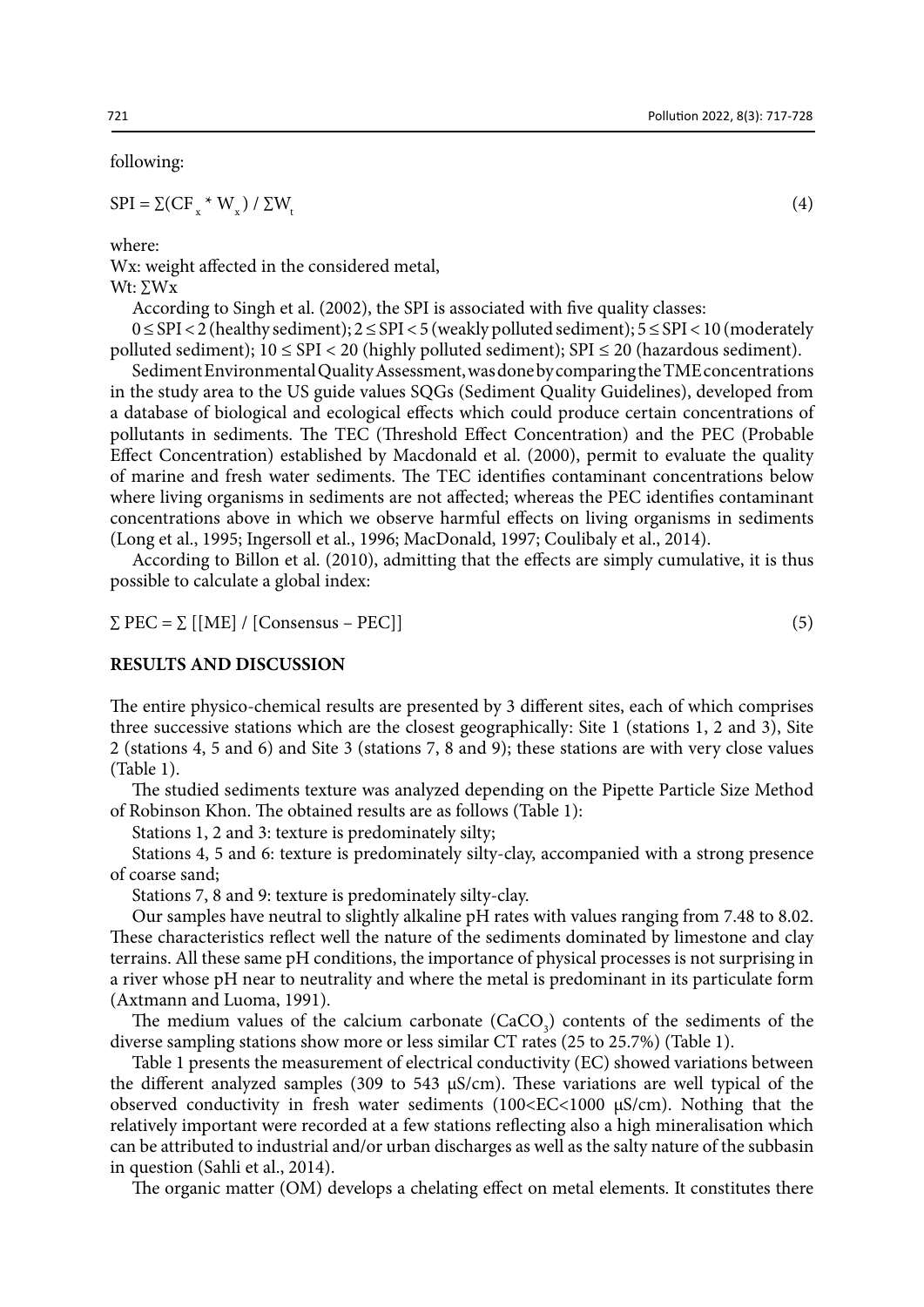following:

 $SPI = \Sigma(CF^* \cdot W^*) / \Sigma W_t$  (4)

where:

Wx: weight affected in the considered metal, Wt: ∑Wx

According to Singh et al. (2002), the SPI is associated with five quality classes:

0 ≤ SPI < 2 (healthy sediment); 2 ≤ SPI < 5 (weakly polluted sediment); 5 ≤ SPI < 10 (moderately polluted sediment);  $10 \leq$  SPI  $<$  20 (highly polluted sediment); SPI  $\leq$  20 (hazardous sediment).

Sediment Environmental Quality Assessment, was done by comparing the TME concentrations in the study area to the US guide values SQGs (Sediment Quality Guidelines), developed from a database of biological and ecological effects which could produce certain concentrations of pollutants in sediments. The TEC (Threshold Effect Concentration) and the PEC (Probable Effect Concentration) established by Macdonald et al. (2000), permit to evaluate the quality of marine and fresh water sediments. The TEC identifies contaminant concentrations below where living organisms in sediments are not affected; whereas the PEC identifies contaminant concentrations above in which we observe harmful effects on living organisms in sediments (Long et al., 1995; Ingersoll et al., 1996; MacDonald, 1997; Coulibaly et al., 2014).

According to Billon et al. (2010), admitting that the effects are simply cumulative, it is thus possible to calculate a global index:

$$
\Sigma \, \text{PEC} = \Sigma \, \left[ \left[ \text{ME} \right] / \left[ \text{Consensus} - \text{PEC} \right] \right] \tag{5}
$$

#### **RESULTS AND DISCUSSION**

The entire physico-chemical results are presented by 3 different sites, each of which comprises three successive stations which are the closest geographically: Site 1 (stations 1, 2 and 3), Site 2 (stations 4, 5 and 6) and Site 3 (stations 7, 8 and 9); these stations are with very close values (Table 1).

The studied sediments texture was analyzed depending on the Pipette Particle Size Method of Robinson Khon. The obtained results are as follows (Table 1):

Stations 1, 2 and 3: texture is predominately silty;

Stations 4, 5 and 6: texture is predominately silty-clay, accompanied with a strong presence of coarse sand;

Stations 7, 8 and 9: texture is predominately silty-clay.

Our samples have neutral to slightly alkaline pH rates with values ranging from 7.48 to 8.02. These characteristics reflect well the nature of the sediments dominated by limestone and clay terrains. All these same pH conditions, the importance of physical processes is not surprising in a river whose pH near to neutrality and where the metal is predominant in its particulate form (Axtmann and Luoma, 1991).

The medium values of the calcium carbonate  $(CaCO<sub>3</sub>)$  contents of the sediments of the diverse sampling stations show more or less similar CT rates (25 to 25.7%) (Table 1).

Table 1 presents the measurement of electrical conductivity (EC) showed variations between the different analyzed samples (309 to 543  $\mu$ S/cm). These variations are well typical of the observed conductivity in fresh water sediments  $(100<\text{EC}<1000 \text{ }\mu\text{S/cm})$ . Nothing that the relatively important were recorded at a few stations reflecting also a high mineralisation which can be attributed to industrial and/or urban discharges as well as the salty nature of the subbasin in question (Sahli et al., 2014).

The organic matter (OM) develops a chelating effect on metal elements. It constitutes there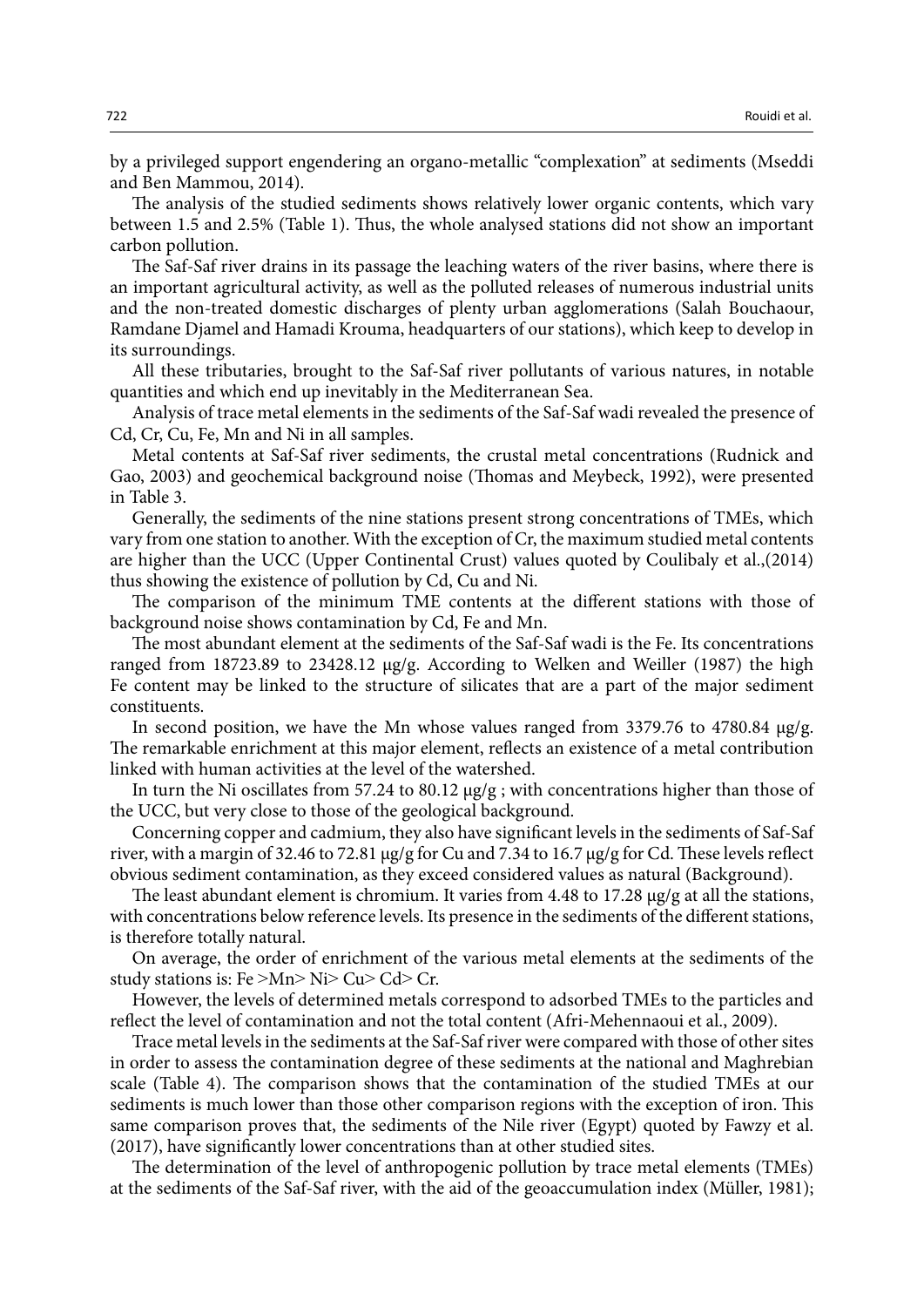by a privileged support engendering an organo-metallic "complexation" at sediments (Mseddi and Ben Mammou, 2014).

The analysis of the studied sediments shows relatively lower organic contents, which vary between 1.5 and 2.5% (Table 1). Thus, the whole analysed stations did not show an important carbon pollution.

The Saf-Saf river drains in its passage the leaching waters of the river basins, where there is an important agricultural activity, as well as the polluted releases of numerous industrial units and the non-treated domestic discharges of plenty urban agglomerations (Salah Bouchaour, Ramdane Djamel and Hamadi Krouma, headquarters of our stations), which keep to develop in its surroundings.

All these tributaries, brought to the Saf-Saf river pollutants of various natures, in notable quantities and which end up inevitably in the Mediterranean Sea.

Analysis of trace metal elements in the sediments of the Saf-Saf wadi revealed the presence of Cd, Cr, Cu, Fe, Mn and Ni in all samples.

Metal contents at Saf-Saf river sediments, the crustal metal concentrations (Rudnick and Gao, 2003) and geochemical background noise (Thomas and Meybeck, 1992), were presented in Table 3.

Generally, the sediments of the nine stations present strong concentrations of TMEs, which vary from one station to another. With the exception of Cr, the maximum studied metal contents are higher than the UCC (Upper Continental Crust) values quoted by Coulibaly et al.,(2014) thus showing the existence of pollution by Cd, Cu and Ni.

The comparison of the minimum TME contents at the different stations with those of background noise shows contamination by Cd, Fe and Mn.

The most abundant element at the sediments of the Saf-Saf wadi is the Fe. Its concentrations ranged from 18723.89 to 23428.12 µg/g. According to Welken and Weiller (1987) the high Fe content may be linked to the structure of silicates that are a part of the major sediment constituents.

In second position, we have the Mn whose values ranged from 3379.76 to 4780.84 µg/g. The remarkable enrichment at this major element, reflects an existence of a metal contribution linked with human activities at the level of the watershed.

In turn the Ni oscillates from 57.24 to 80.12 µg/g ; with concentrations higher than those of the UCC, but very close to those of the geological background.

Concerning copper and cadmium, they also have significant levels in the sediments of Saf-Saf river, with a margin of 32.46 to 72.81 µg/g for Cu and 7.34 to 16.7 µg/g for Cd. These levels reflect obvious sediment contamination, as they exceed considered values as natural (Background).

The least abundant element is chromium. It varies from 4.48 to 17.28 µg/g at all the stations, with concentrations below reference levels. Its presence in the sediments of the different stations, is therefore totally natural.

On average, the order of enrichment of the various metal elements at the sediments of the study stations is: Fe >Mn> Ni> Cu> Cd> Cr.

However, the levels of determined metals correspond to adsorbed TMEs to the particles and reflect the level of contamination and not the total content (Afri-Mehennaoui et al., 2009).

Trace metal levels in the sediments at the Saf-Saf river were compared with those of other sites in order to assess the contamination degree of these sediments at the national and Maghrebian scale (Table 4). The comparison shows that the contamination of the studied TMEs at our sediments is much lower than those other comparison regions with the exception of iron. This same comparison proves that, the sediments of the Nile river (Egypt) quoted by Fawzy et al. (2017), have significantly lower concentrations than at other studied sites.

The determination of the level of anthropogenic pollution by trace metal elements (TMEs) at the sediments of the Saf-Saf river, with the aid of the geoaccumulation index (Müller, 1981);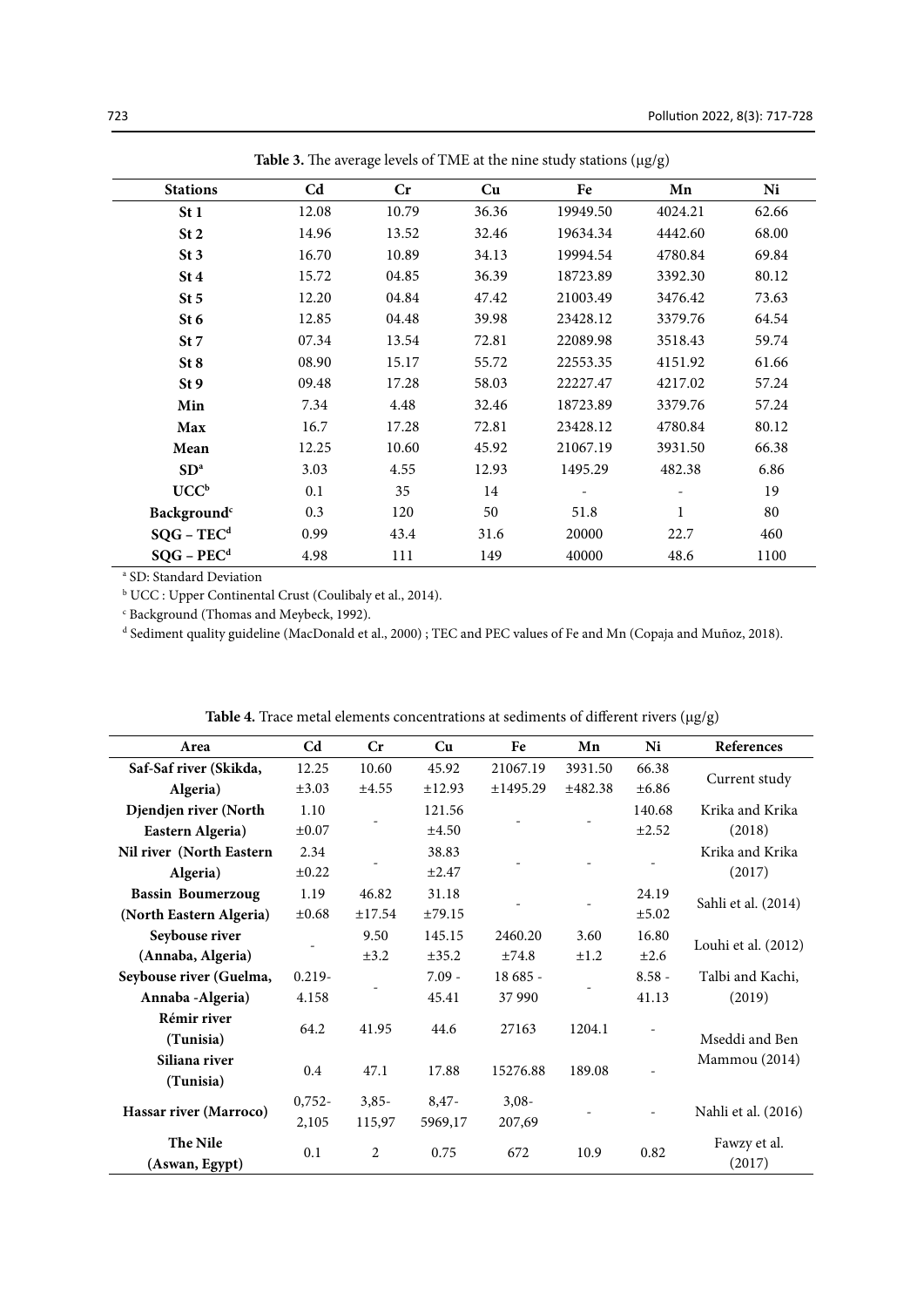| <b>Stations</b>         | C <sub>d</sub> | $\mathbf{C}$ r | Cu    | Fe       | Mn           | Ni    |
|-------------------------|----------------|----------------|-------|----------|--------------|-------|
| St 1                    | 12.08          | 10.79          | 36.36 | 19949.50 | 4024.21      | 62.66 |
| St <sub>2</sub>         | 14.96          | 13.52          | 32.46 | 19634.34 | 4442.60      | 68.00 |
| St <sub>3</sub>         | 16.70          | 10.89          | 34.13 | 19994.54 | 4780.84      | 69.84 |
| St4                     | 15.72          | 04.85          | 36.39 | 18723.89 | 3392.30      | 80.12 |
| St <sub>5</sub>         | 12.20          | 04.84          | 47.42 | 21003.49 | 3476.42      | 73.63 |
| St <sub>6</sub>         | 12.85          | 04.48          | 39.98 | 23428.12 | 3379.76      | 64.54 |
| St 7                    | 07.34          | 13.54          | 72.81 | 22089.98 | 3518.43      | 59.74 |
| St 8                    | 08.90          | 15.17          | 55.72 | 22553.35 | 4151.92      | 61.66 |
| St 9                    | 09.48          | 17.28          | 58.03 | 22227.47 | 4217.02      | 57.24 |
| Min                     | 7.34           | 4.48           | 32.46 | 18723.89 | 3379.76      | 57.24 |
| Max                     | 16.7           | 17.28          | 72.81 | 23428.12 | 4780.84      | 80.12 |
| Mean                    | 12.25          | 10.60          | 45.92 | 21067.19 | 3931.50      | 66.38 |
| SD <sup>a</sup>         | 3.03           | 4.55           | 12.93 | 1495.29  | 482.38       | 6.86  |
| UCC <sup>b</sup>        | 0.1            | 35             | 14    |          |              | 19    |
| Background <sup>c</sup> | 0.3            | 120            | 50    | 51.8     | $\mathbf{1}$ | 80    |
| $SQG - TECd$            | 0.99           | 43.4           | 31.6  | 20000    | 22.7         | 460   |
| $SQG - PECd$            | 4.98           | 111            | 149   | 40000    | 48.6         | 1100  |

**Table 3.** The average levels of TME at the nine study stations (μg/g) **Table 3.** The average levels of TME at the nine study stations (μg/g)

<sup>a</sup> SD: Standard Deviation

 $^{\rm b}$  UCC : Upper Continental Crust (Coulibaly et al., 2014).

<sup>c</sup> Background (Thomas and Meybeck, 1992).

<sup>d</sup> Sediment quality guideline (MacDonald et al., 2000) ; TEC and PEC values of Fe and Mn (Copaja and Muñoz, 2018).

| Area                       | C <sub>d</sub> | Cr        | Cu         | Fe       | Mn        | Ni         | References             |
|----------------------------|----------------|-----------|------------|----------|-----------|------------|------------------------|
| Saf-Saf river (Skikda,     | 12.25          | 10.60     | 45.92      | 21067.19 | 3931.50   | 66.38      |                        |
| Algeria)                   | $\pm 3.03$     | ±4.55     | ±12.93     | ±1495.29 | ±482.38   | ±6.86      | Current study          |
| Djendjen river (North      | 1.10           |           | 121.56     |          |           | 140.68     | Krika and Krika        |
| Eastern Algeria)           | $\pm 0.07$     |           | $\pm 4.50$ |          |           | ±2.52      | (2018)                 |
| Nil river (North Eastern   | 2.34           |           | 38.83      |          |           |            | Krika and Krika        |
| Algeria)                   | $\pm 0.22$     |           | $\pm 2.47$ |          |           | ۰          | (2017)                 |
| <b>Bassin Boumerzoug</b>   | 1.19           | 46.82     | 31.18      |          |           | 24.19      |                        |
| (North Eastern Algeria)    | $\pm 0.68$     | ±17.54    | ±79.15     |          |           | $\pm 5.02$ | Sahli et al. (2014)    |
| Seybouse river             |                | 9.50      | 145.15     | 2460.20  | 3.60      | 16.80      |                        |
| (Annaba, Algeria)          |                | $\pm 3.2$ | ±35.2      | ±74.8    | $\pm 1.2$ | $\pm 2.6$  | Louhi et al. (2012)    |
| Seybouse river (Guelma,    | $0.219 -$      |           | $7.09 -$   | 18 685 - |           | $8.58 -$   | Talbi and Kachi,       |
| Annaba - Algeria)          | 4.158          |           | 45.41      | 37990    |           | 41.13      | (2019)                 |
| Rémir river                | 64.2           | 41.95     | 44.6       | 27163    | 1204.1    |            |                        |
| (Tunisia)                  |                |           |            |          |           |            | Mseddi and Ben         |
| Siliana river<br>(Tunisia) | 0.4            | 47.1      | 17.88      | 15276.88 | 189.08    |            | Mammou (2014)          |
|                            | $0,752-$       | $3,85-$   | $8,47-$    | $3,08-$  |           |            |                        |
| Hassar river (Marroco)     | 2,105          | 115,97    | 5969,17    | 207,69   |           |            | Nahli et al. (2016)    |
| The Nile<br>(Aswan, Egypt) | 0.1            | 2         | 0.75       | 672      | 10.9      | 0.82       | Fawzy et al.<br>(2017) |

**Table 4.** Trace metal elements concentrations at sediments of different rivers (μg/g) **Table 4.** Trace metal elements concentrations at sediments of different rivers (μg/g)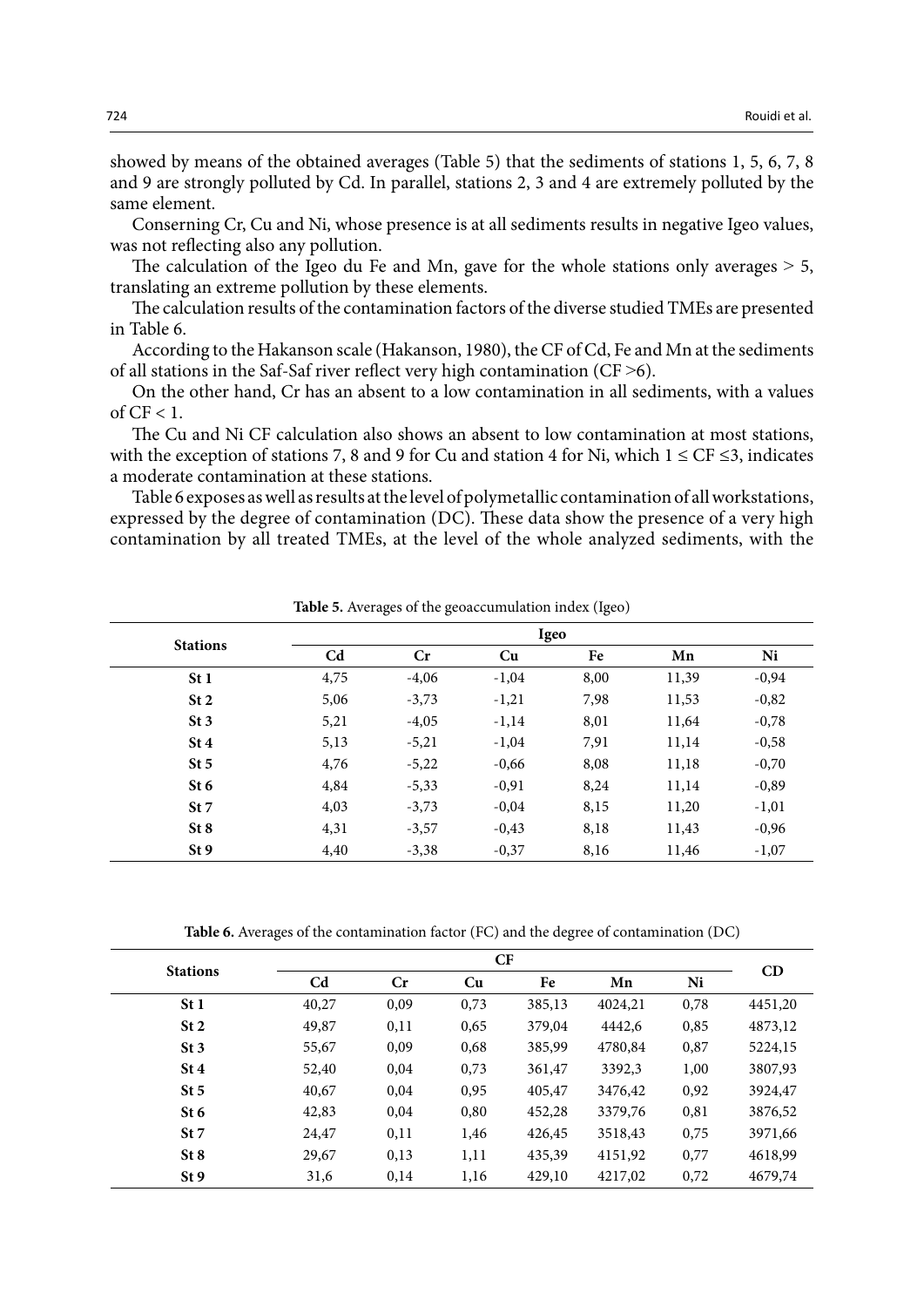showed by means of the obtained averages (Table 5) that the sediments of stations 1, 5, 6, 7, 8 and 9 are strongly polluted by Cd. In parallel, stations 2, 3 and 4 are extremely polluted by the same element.

Conserning Cr, Cu and Ni, whose presence is at all sediments results in negative Igeo values, was not reflecting also any pollution.

The calculation of the Igeo du Fe and Mn, gave for the whole stations only averages  $> 5$ , translating an extreme pollution by these elements.

The calculation results of the contamination factors of the diverse studied TMEs are presented in Table 6.

According to the Hakanson scale (Hakanson, 1980), the CF of Cd, Fe and Mn at the sediments of all stations in the Saf-Saf river reflect very high contamination (CF $>$ 6).

On the other hand, Cr has an absent to a low contamination in all sediments, with a values of  $CF < 1$ .

The Cu and Ni CF calculation also shows an absent to low contamination at most stations, with the exception of stations 7, 8 and 9 for Cu and station 4 for Ni, which  $1 \leq CF \leq 3$ , indicates a moderate contamination at these stations.

Table 6 exposes as well as results at the level of polymetallic contamination of all workstations, expressed by the degree of contamination (DC). These data show the presence of a very high contamination by all treated TMEs, at the level of the whole analyzed sediments, with the

| <b>Stations</b> | Igeo           |         |         |      |       |         |  |  |  |  |
|-----------------|----------------|---------|---------|------|-------|---------|--|--|--|--|
|                 | C <sub>d</sub> | Cr      | Cu      | Fe   | Mn    | Ni      |  |  |  |  |
| St <sub>1</sub> | 4,75           | $-4,06$ | $-1,04$ | 8,00 | 11,39 | $-0,94$ |  |  |  |  |
| St <sub>2</sub> | 5,06           | $-3,73$ | $-1,21$ | 7,98 | 11,53 | $-0,82$ |  |  |  |  |
| St <sub>3</sub> | 5,21           | $-4,05$ | $-1,14$ | 8,01 | 11,64 | $-0,78$ |  |  |  |  |
| St4             | 5,13           | $-5,21$ | $-1,04$ | 7,91 | 11,14 | $-0,58$ |  |  |  |  |
| St <sub>5</sub> | 4,76           | $-5,22$ | $-0,66$ | 8,08 | 11,18 | $-0,70$ |  |  |  |  |
| St 6            | 4,84           | $-5,33$ | $-0,91$ | 8,24 | 11,14 | $-0,89$ |  |  |  |  |
| St 7            | 4,03           | $-3,73$ | $-0,04$ | 8,15 | 11,20 | $-1,01$ |  |  |  |  |
| St 8            | 4,31           | $-3,57$ | $-0,43$ | 8,18 | 11,43 | $-0,96$ |  |  |  |  |
| St <sub>9</sub> | 4,40           | $-3,38$ | $-0,37$ | 8,16 | 11,46 | $-1,07$ |  |  |  |  |

**Table 5.** Averages of the geoaccumulation index (Igeo)

**Table 6.** Averages of the contamination factor (FC) and the degree of contamination (DC) **Table 6.** Averages of the contamination factor (FC) and the degree of contamination (DC)

| <b>Stations</b> | CF             |      |      |        |         |      |         |
|-----------------|----------------|------|------|--------|---------|------|---------|
|                 | C <sub>d</sub> | Cr   | Cu   | Fe     | Mn      | Ni   | CD      |
| St1             | 40,27          | 0,09 | 0,73 | 385,13 | 4024,21 | 0,78 | 4451,20 |
| St <sub>2</sub> | 49,87          | 0,11 | 0,65 | 379,04 | 4442,6  | 0,85 | 4873,12 |
| St <sub>3</sub> | 55,67          | 0,09 | 0,68 | 385,99 | 4780,84 | 0,87 | 5224,15 |
| St4             | 52,40          | 0,04 | 0,73 | 361,47 | 3392,3  | 1,00 | 3807,93 |
| St <sub>5</sub> | 40,67          | 0,04 | 0,95 | 405,47 | 3476,42 | 0,92 | 3924,47 |
| St 6            | 42,83          | 0,04 | 0,80 | 452,28 | 3379,76 | 0,81 | 3876,52 |
| St 7            | 24,47          | 0,11 | 1,46 | 426,45 | 3518,43 | 0,75 | 3971,66 |
| St 8            | 29,67          | 0,13 | 1,11 | 435,39 | 4151,92 | 0,77 | 4618,99 |
| St <sub>9</sub> | 31,6           | 0,14 | 1,16 | 429,10 | 4217,02 | 0,72 | 4679,74 |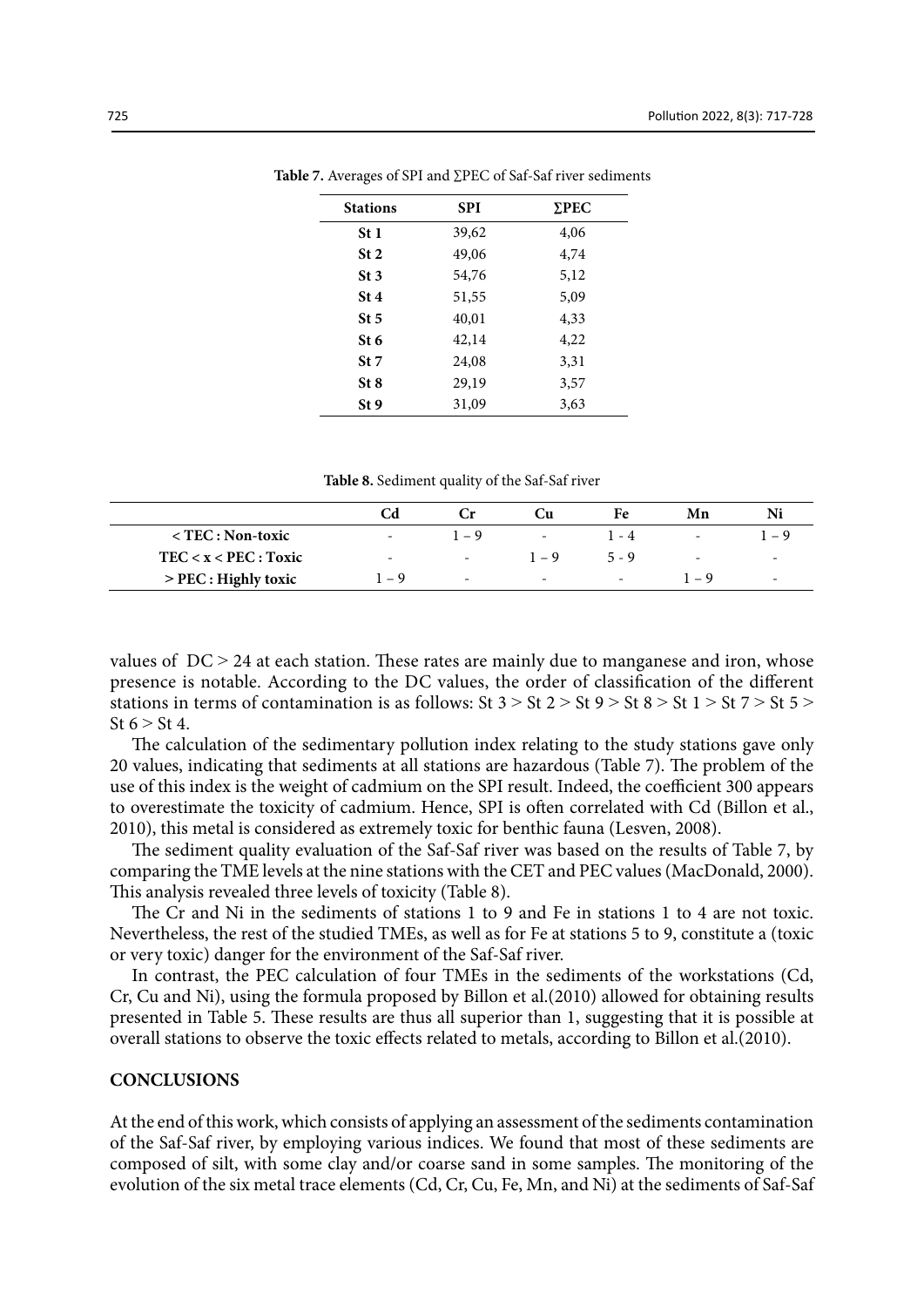| <b>Stations</b> | <b>SPI</b> | $\Sigma$ PEC |
|-----------------|------------|--------------|
| St <sub>1</sub> | 39,62      | 4,06         |
| St <sub>2</sub> | 49,06      | 4,74         |
| St <sub>3</sub> | 54,76      | 5,12         |
| St 4            | 51,55      | 5,09         |
| St <sub>5</sub> | 40,01      | 4,33         |
| St 6            | 42,14      | 4,22         |
| St 7            | 24,08      | 3,31         |
| St <sub>8</sub> | 29,19      | 3,57         |
| St 9            | 31,09      | 3,63         |

**Table 7.** Averages of SPI and ∑PEC of Saf-Saf river sediments **Table 7.** Averages of SPI and ∑PEC of Saf-Saf river sediments

**Table 8.** Sediment quality of the Saf-Saf river **Table 8.** Sediment quality of the Saf-Saf river

|                           |                          | ∪r      | ÛЦ                       | Fe      | Mn                       | Ni                       |
|---------------------------|--------------------------|---------|--------------------------|---------|--------------------------|--------------------------|
| $\langle$ TEC : Non-toxic |                          | $1 - 9$ | -                        | l - 4   | $\overline{\phantom{a}}$ | $-\mathbf{q}$            |
| $TEC < x < PEC$ : Toxic   | $\overline{\phantom{a}}$ | -       | $1 - 9$                  | $5 - 9$ | $\overline{\phantom{a}}$ | $\sim$                   |
| > PEC : Highly toxic      | $-9$                     | -       | $\overline{\phantom{a}}$ | $\sim$  | $\overline{a}$           | $\overline{\phantom{a}}$ |

values of  $DC > 24$  at each station. These rates are mainly due to manganese and iron, whose presence is notable. According to the DC values, the order of classification of the different stations in terms of contamination is as follows: St  $3 > St$  2  $> St$  9  $> St$  8  $> St$  1  $> St$  7  $> St$  5  $>$ St  $6 > St 4$ .

The calculation of the sedimentary pollution index relating to the study stations gave only 20 values, indicating that sediments at all stations are hazardous (Table 7). The problem of the use of this index is the weight of cadmium on the SPI result. Indeed, the coefficient 300 appears to overestimate the toxicity of cadmium. Hence, SPI is often correlated with Cd (Billon et al., 2010), this metal is considered as extremely toxic for benthic fauna (Lesven, 2008).

The sediment quality evaluation of the Saf-Saf river was based on the results of Table 7, by comparing the TME levels at the nine stations with the CET and PEC values (MacDonald, 2000). This analysis revealed three levels of toxicity (Table 8).

The Cr and Ni in the sediments of stations 1 to 9 and Fe in stations 1 to 4 are not toxic. Nevertheless, the rest of the studied TMEs, as well as for Fe at stations 5 to 9, constitute a (toxic or very toxic) danger for the environment of the Saf-Saf river.

In contrast, the PEC calculation of four TMEs in the sediments of the workstations (Cd, Cr, Cu and Ni), using the formula proposed by Billon et al.(2010) allowed for obtaining results presented in Table 5. These results are thus all superior than 1, suggesting that it is possible at overall stations to observe the toxic effects related to metals, according to Billon et al.(2010).

#### **CONCLUSIONS**

At the end of this work, which consists of applying an assessment of the sediments contamination of the Saf-Saf river, by employing various indices. We found that most of these sediments are composed of silt, with some clay and/or coarse sand in some samples. The monitoring of the evolution of the six metal trace elements (Cd, Cr, Cu, Fe, Mn, and Ni) at the sediments of Saf-Saf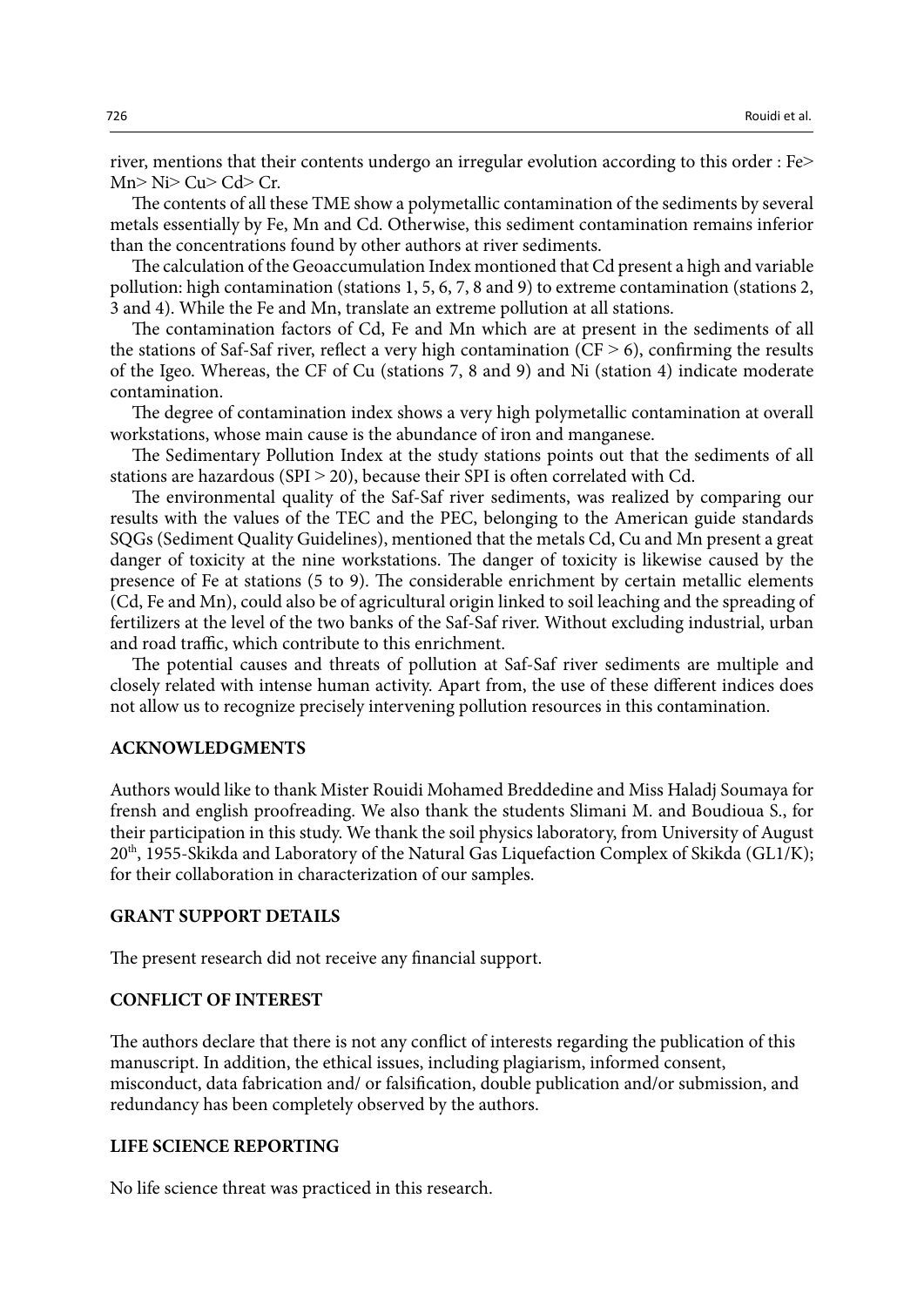river, mentions that their contents undergo an irregular evolution according to this order : Fe>  $Mn > Ni > Cu > Cd > Cr.$ 

The contents of all these TME show a polymetallic contamination of the sediments by several metals essentially by Fe, Mn and Cd. Otherwise, this sediment contamination remains inferior than the concentrations found by other authors at river sediments.

The calculation of the Geoaccumulation Index montioned that Cd present a high and variable pollution: high contamination (stations 1, 5, 6, 7, 8 and 9) to extreme contamination (stations 2, 3 and 4). While the Fe and Mn, translate an extreme pollution at all stations.

The contamination factors of Cd, Fe and Mn which are at present in the sediments of all the stations of Saf-Saf river, reflect a very high contamination  $(CF > 6)$ , confirming the results of the Igeo. Whereas, the CF of Cu (stations 7, 8 and 9) and Ni (station 4) indicate moderate contamination.

The degree of contamination index shows a very high polymetallic contamination at overall workstations, whose main cause is the abundance of iron and manganese.

The Sedimentary Pollution Index at the study stations points out that the sediments of all stations are hazardous (SPI  $>$  20), because their SPI is often correlated with Cd.

The environmental quality of the Saf-Saf river sediments, was realized by comparing our results with the values of the TEC and the PEC, belonging to the American guide standards SQGs (Sediment Quality Guidelines), mentioned that the metals Cd, Cu and Mn present a great danger of toxicity at the nine workstations. The danger of toxicity is likewise caused by the presence of Fe at stations (5 to 9). The considerable enrichment by certain metallic elements (Cd, Fe and Mn), could also be of agricultural origin linked to soil leaching and the spreading of fertilizers at the level of the two banks of the Saf-Saf river. Without excluding industrial, urban and road traffic, which contribute to this enrichment.

The potential causes and threats of pollution at Saf-Saf river sediments are multiple and closely related with intense human activity. Apart from, the use of these different indices does not allow us to recognize precisely intervening pollution resources in this contamination.

#### **ACKNOWLEDGMENTS**

Authors would like to thank Mister Rouidi Mohamed Breddedine and Miss Haladj Soumaya for frensh and english proofreading. We also thank the students Slimani M. and Boudioua S., for their participation in this study. We thank the soil physics laboratory, from University of August  $20<sup>th</sup>$ , 1955-Skikda and Laboratory of the Natural Gas Liquefaction Complex of Skikda (GL1/K); for their collaboration in characterization of our samples.

# **GRANT SUPPORT DETAILS**

The present research did not receive any financial support.

#### **CONFLICT OF INTEREST**

The authors declare that there is not any conflict of interests regarding the publication of this manuscript. In addition, the ethical issues, including plagiarism, informed consent, misconduct, data fabrication and/ or falsification, double publication and/or submission, and redundancy has been completely observed by the authors.

#### **LIFE SCIENCE REPORTING**

No life science threat was practiced in this research.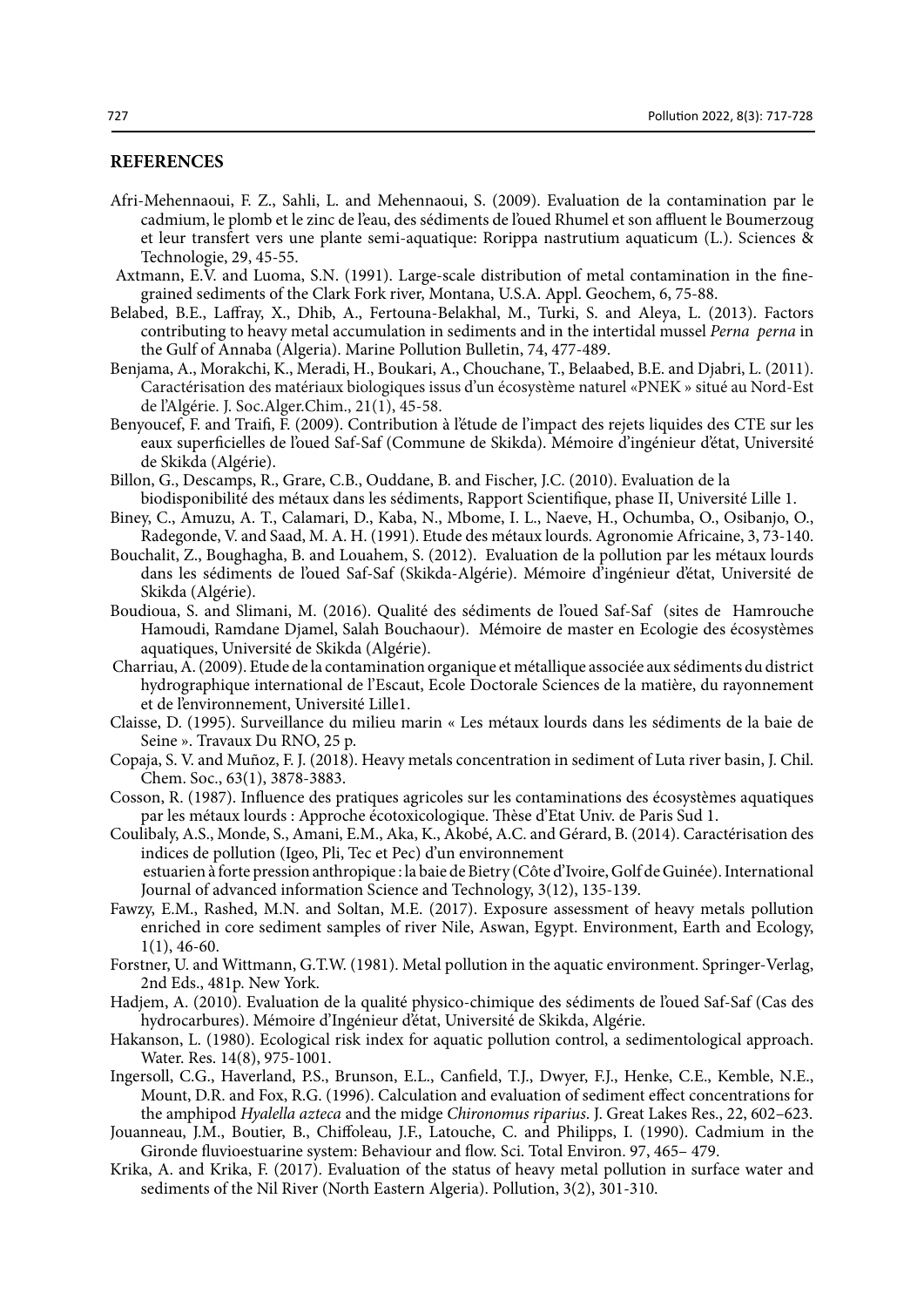# **REFERENCES**

- Afri-Mehennaoui, F. Z., Sahli, L. and Mehennaoui, S. (2009). Evaluation de la contamination par le cadmium, le plomb et le zinc de l'eau, des sédiments de l'oued Rhumel et son affluent le Boumerzoug et leur transfert vers une plante semi-aquatique: Rorippa nastrutium aquaticum (L.). Sciences & Technologie, 29, 45-55.
- Axtmann, E.V. and Luoma, S.N. (1991). Large-scale distribution of metal contamination in the finegrained sediments of the Clark Fork river, Montana, U.S.A. Appl. Geochem, 6, 75-88.
- Belabed, B.E., Laffray, X., Dhib, A., Fertouna-Belakhal, M., Turki, S. and Aleya, L. (2013). Factors contributing to heavy metal accumulation in sediments and in the intertidal mussel *Perna perna* in the Gulf of Annaba (Algeria). Marine Pollution Bulletin, 74, 477-489.
- Benjama, A., Morakchi, K., Meradi, H., Boukari, A., Chouchane, T., Belaabed, B.E. and Djabri, L. (2011). Caractérisation des matériaux biologiques issus d'un écosystème naturel «PNEK » situé au Nord-Est de l'Algérie. J. Soc.Alger.Chim., 21(1), 45-58.
- Benyoucef, F. and Traifi, F. (2009). Contribution à l'étude de l'impact des rejets liquides des CTE sur les eaux superficielles de l'oued Saf-Saf (Commune de Skikda). Mémoire d'ingénieur d'état, Université de Skikda (Algérie).
- Billon, G., Descamps, R., Grare, C.B., Ouddane, B. and Fischer, J.C. (2010). Evaluation de la biodisponibilité des métaux dans les sédiments, Rapport Scientifique, phase II, Université Lille 1.
- Biney, C., Amuzu, A. T., Calamari, D., Kaba, N., Mbome, I. L., Naeve, H., Ochumba, O., Osibanjo, O., Radegonde, V. and Saad, M. A. H. (1991). Etude des métaux lourds. Agronomie Africaine, 3, 73-140.
- Bouchalit, Z., Boughagha, B. and Louahem, S. (2012). Evaluation de la pollution par les métaux lourds dans les sédiments de l'oued Saf-Saf (Skikda-Algérie). Mémoire d'ingénieur d'état, Université de Skikda (Algérie).
- Boudioua, S. and Slimani, M. (2016). Qualité des sédiments de l'oued Saf-Saf (sites de Hamrouche Hamoudi, Ramdane Djamel, Salah Bouchaour). Mémoire de master en Ecologie des écosystèmes aquatiques, Université de Skikda (Algérie).
- Charriau, A. (2009). Etude de la contamination organique et métallique associée aux sédiments du district hydrographique international de l'Escaut, Ecole Doctorale Sciences de la matière, du rayonnement et de l'environnement, Université Lille1.
- Claisse, D. (1995). Surveillance du milieu marin « Les métaux lourds dans les sédiments de la baie de Seine ». Travaux Du RNO, 25 p.
- Copaja, S. V. and Muñoz, F. J. (2018). Heavy metals concentration in sediment of Luta river basin, J. Chil. Chem. Soc., 63(1), 3878-3883.
- Cosson, R. (1987). Influence des pratiques agricoles sur les contaminations des écosystèmes aquatiques par les métaux lourds : Approche écotoxicologique. Thèse d'Etat Univ. de Paris Sud 1.
- Coulibaly, A.S., Monde, S., Amani, E.M., Aka, K., Akobé, A.C. and Gérard, B. (2014). Caractérisation des indices de pollution (Igeo, Pli, Tec et Pec) d'un environnement estuarien à forte pression anthropique : la baie de Bietry (Côte d'Ivoire, Golf de Guinée). International Journal of advanced information Science and Technology, 3(12), 135-139.
- Fawzy, E.M., Rashed, M.N. and Soltan, M.E. (2017). Exposure assessment of heavy metals pollution enriched in core sediment samples of river Nile, Aswan, Egypt. Environment, Earth and Ecology, 1(1), 46-60.
- Forstner, U. and Wittmann, G.T.W. (1981). Metal pollution in the aquatic environment. Springer-Verlag, 2nd Eds., 481p. New York.
- Hadjem, A. (2010). Evaluation de la qualité physico-chimique des sédiments de l'oued Saf-Saf (Cas des hydrocarbures). Mémoire d'Ingénieur d'état, Université de Skikda, Algérie.
- Hakanson, L. (1980). Ecological risk index for aquatic pollution control, a sedimentological approach. Water. Res. 14(8), 975-1001.
- Ingersoll, C.G., Haverland, P.S., Brunson, E.L., Canfield, T.J., Dwyer, F.J., Henke, C.E., Kemble, N.E., Mount, D.R. and Fox, R.G. (1996). Calculation and evaluation of sediment effect concentrations for the amphipod *Hyalella azteca* and the midge *Chironomus riparius*. J. Great Lakes Res., 22, 602–623.
- Jouanneau, J.M., Boutier, B., Chiffoleau, J.F., Latouche, C. and Philipps, I. (1990). Cadmium in the Gironde fluvioestuarine system: Behaviour and flow. Sci. Total Environ. 97, 465– 479.
- Krika, A. and Krika, F. (2017). Evaluation of the status of heavy metal pollution in surface water and sediments of the Nil River (North Eastern Algeria). Pollution, 3(2), 301-310.